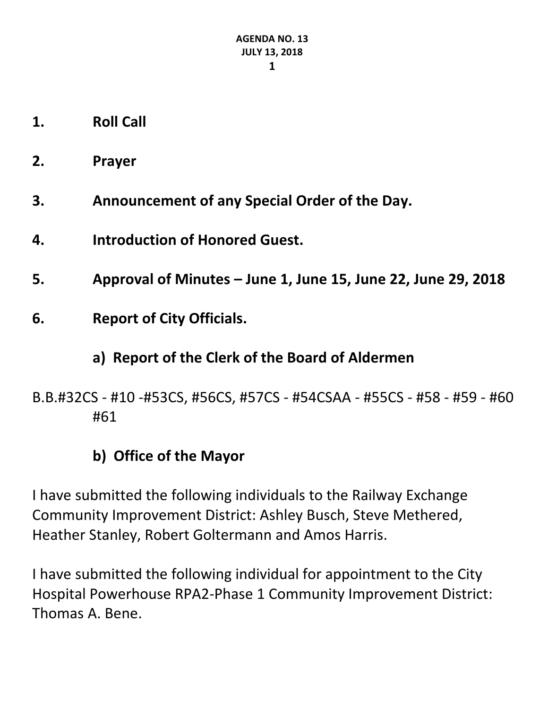- **1. Roll Call**
- **2. Prayer**
- **3. Announcement of any Special Order of the Day.**
- **4. Introduction of Honored Guest.**
- **5. Approval of Minutes – June 1, June 15, June 22, June 29, 2018**
- **6. Report of City Officials.**

## **a) Report of the Clerk of the Board of Aldermen**

B.B.#32CS - #10 -#53CS, #56CS, #57CS - #54CSAA - #55CS - #58 - #59 - #60 #61

## **b) Office of the Mayor**

I have submitted the following individuals to the Railway Exchange Community Improvement District: Ashley Busch, Steve Methered, Heather Stanley, Robert Goltermann and Amos Harris.

I have submitted the following individual for appointment to the City Hospital Powerhouse RPA2-Phase 1 Community Improvement District: Thomas A. Bene.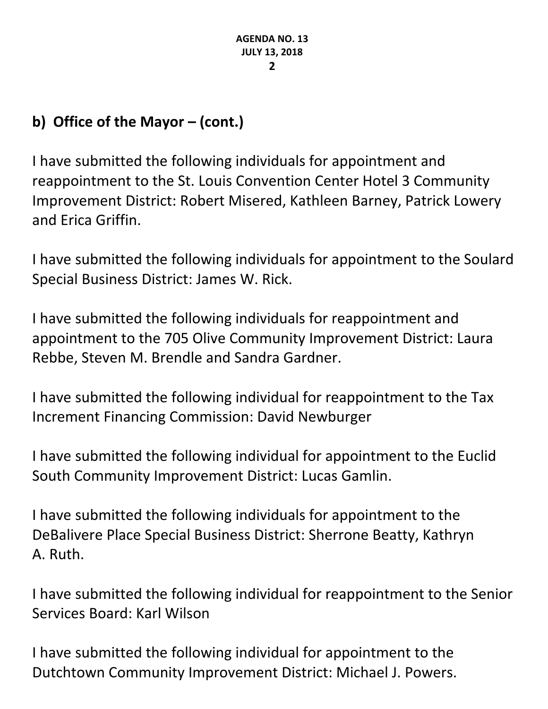# **b) Office of the Mayor – (cont.)**

I have submitted the following individuals for appointment and reappointment to the St. Louis Convention Center Hotel 3 Community Improvement District: Robert Misered, Kathleen Barney, Patrick Lowery and Erica Griffin.

I have submitted the following individuals for appointment to the Soulard Special Business District: James W. Rick.

I have submitted the following individuals for reappointment and appointment to the 705 Olive Community Improvement District: Laura Rebbe, Steven M. Brendle and Sandra Gardner.

I have submitted the following individual for reappointment to the Tax Increment Financing Commission: David Newburger

I have submitted the following individual for appointment to the Euclid South Community Improvement District: Lucas Gamlin.

I have submitted the following individuals for appointment to the DeBalivere Place Special Business District: Sherrone Beatty, Kathryn A. Ruth.

I have submitted the following individual for reappointment to the Senior Services Board: Karl Wilson

I have submitted the following individual for appointment to the Dutchtown Community Improvement District: Michael J. Powers.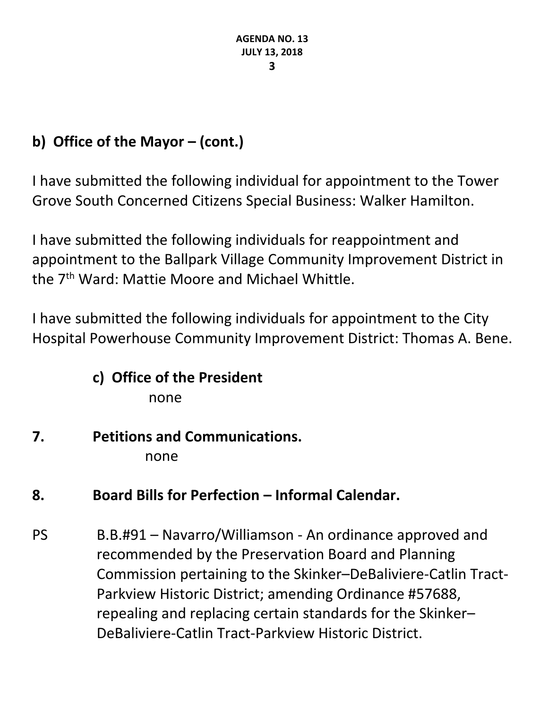# **b) Office of the Mayor – (cont.)**

I have submitted the following individual for appointment to the Tower Grove South Concerned Citizens Special Business: Walker Hamilton.

I have submitted the following individuals for reappointment and appointment to the Ballpark Village Community Improvement District in the 7th Ward: Mattie Moore and Michael Whittle.

I have submitted the following individuals for appointment to the City Hospital Powerhouse Community Improvement District: Thomas A. Bene.

## **c) Office of the President** none

# **7. Petitions and Communications.**

none

# **8. Board Bills for Perfection – Informal Calendar.**

PS B.B.#91 – Navarro/Williamson - An ordinance approved and recommended by the Preservation Board and Planning Commission pertaining to the Skinker–DeBaliviere-Catlin Tract-Parkview Historic District; amending Ordinance #57688, repealing and replacing certain standards for the Skinker– DeBaliviere-Catlin Tract-Parkview Historic District.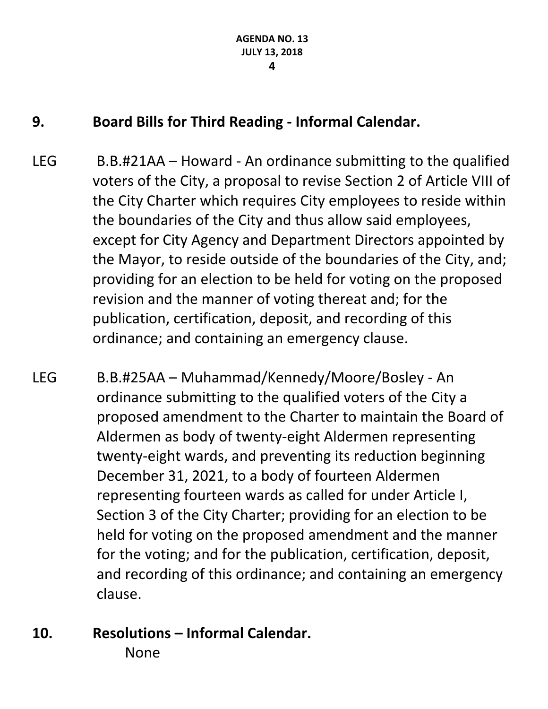## **9. Board Bills for Third Reading - Informal Calendar.**

- LEG B.B.#21AA Howard An ordinance submitting to the qualified voters of the City, a proposal to revise Section 2 of Article VIII of the City Charter which requires City employees to reside within the boundaries of the City and thus allow said employees, except for City Agency and Department Directors appointed by the Mayor, to reside outside of the boundaries of the City, and; providing for an election to be held for voting on the proposed revision and the manner of voting thereat and; for the publication, certification, deposit, and recording of this ordinance; and containing an emergency clause.
- LEG B.B.#25AA Muhammad/Kennedy/Moore/Bosley An ordinance submitting to the qualified voters of the City a proposed amendment to the Charter to maintain the Board of Aldermen as body of twenty-eight Aldermen representing twenty-eight wards, and preventing its reduction beginning December 31, 2021, to a body of fourteen Aldermen representing fourteen wards as called for under Article I, Section 3 of the City Charter; providing for an election to be held for voting on the proposed amendment and the manner for the voting; and for the publication, certification, deposit, and recording of this ordinance; and containing an emergency clause.
- **10. Resolutions – Informal Calendar.**

None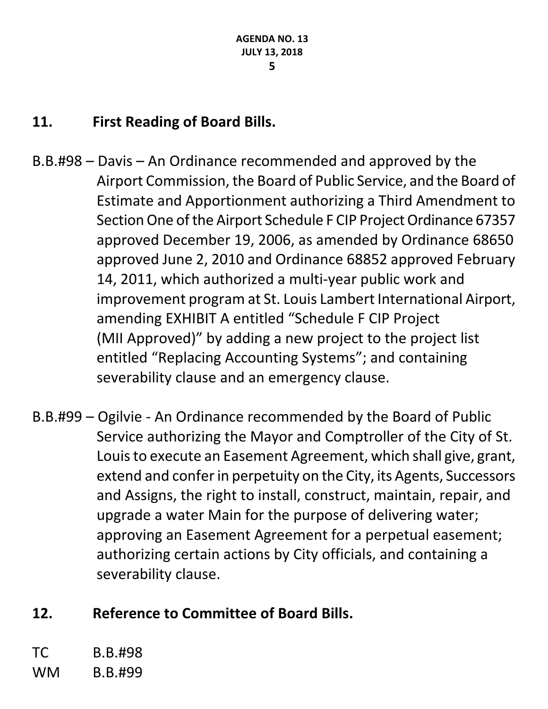## **11. First Reading of Board Bills.**

- B.B.#98 Davis An Ordinance recommended and approved by the Airport Commission, the Board of Public Service, and the Board of Estimate and Apportionment authorizing a Third Amendment to Section One of the Airport Schedule F CIP Project Ordinance 67357 approved December 19, 2006, as amended by Ordinance 68650 approved June 2, 2010 and Ordinance 68852 approved February 14, 2011, which authorized a multi-year public work and improvement program at St. Louis Lambert International Airport, amending EXHIBIT A entitled "Schedule F CIP Project (MII Approved)" by adding a new project to the project list entitled "Replacing Accounting Systems"; and containing severability clause and an emergency clause.
- B.B.#99 Ogilvie An Ordinance recommended by the Board of Public Service authorizing the Mayor and Comptroller of the City of St. Louis to execute an Easement Agreement, which shall give, grant, extend and confer in perpetuity on the City, its Agents, Successors and Assigns, the right to install, construct, maintain, repair, and upgrade a water Main for the purpose of delivering water; approving an Easement Agreement for a perpetual easement; authorizing certain actions by City officials, and containing a severability clause.

## **12. Reference to Committee of Board Bills.**

TC B.B.#98 WM B.B.#99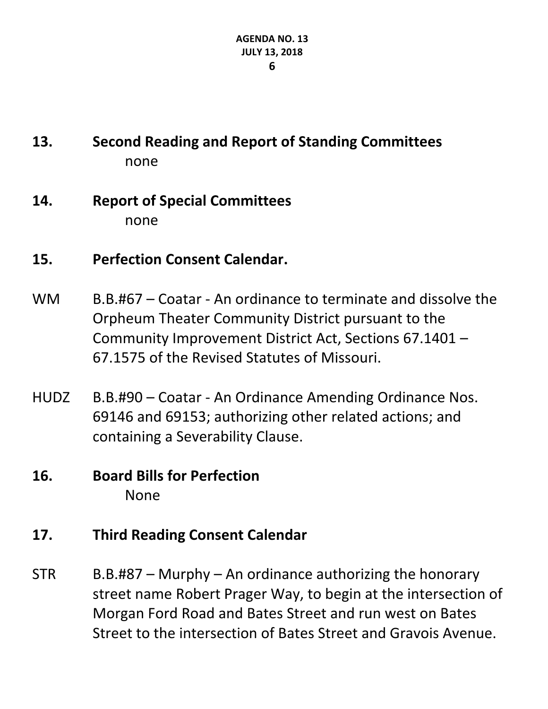# **13. Second Reading and Report of Standing Committees** none

## **14. Report of Special Committees** none

- **15. Perfection Consent Calendar.**
- WM B.B.#67 Coatar An ordinance to terminate and dissolve the Orpheum Theater Community District pursuant to the Community Improvement District Act, Sections 67.1401 – 67.1575 of the Revised Statutes of Missouri.
- HUDZ B.B.#90 Coatar An Ordinance Amending Ordinance Nos. 69146 and 69153; authorizing other related actions; and containing a Severability Clause.

## **16. Board Bills for Perfection** None

## **17. Third Reading Consent Calendar**

 $STR$  B.B.#87 – Murphy – An ordinance authorizing the honorary street name Robert Prager Way, to begin at the intersection of Morgan Ford Road and Bates Street and run west on Bates Street to the intersection of Bates Street and Gravois Avenue.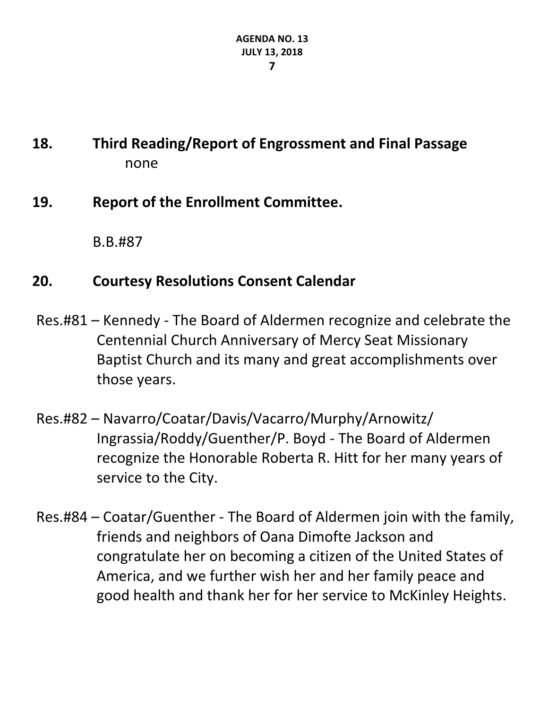# **18. Third Reading/Report of Engrossment and Final Passage** none

## **19. Report of the Enrollment Committee.**

B.B.#87

## **20. Courtesy Resolutions Consent Calendar**

- Res.#81 Kennedy The Board of Aldermen recognize and celebrate the Centennial Church Anniversary of Mercy Seat Missionary Baptist Church and its many and great accomplishments over those years.
- Res.#82 Navarro/Coatar/Davis/Vacarro/Murphy/Arnowitz/ Ingrassia/Roddy/Guenther/P. Boyd - The Board of Aldermen recognize the Honorable Roberta R. Hitt for her many years of service to the City.
- Res.#84 Coatar/Guenther The Board of Aldermen join with the family, friends and neighbors of Oana Dimofte Jackson and congratulate her on becoming a citizen of the United States of America, and we further wish her and her family peace and good health and thank her for her service to McKinley Heights.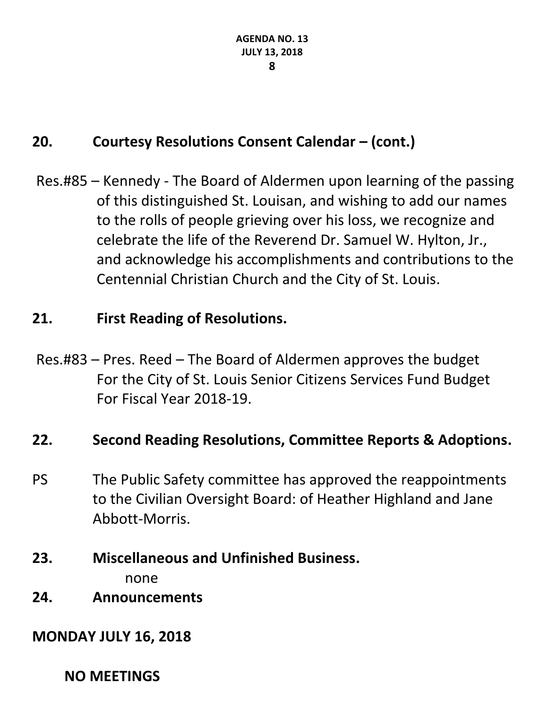## **20. Courtesy Resolutions Consent Calendar – (cont.)**

Res.#85 – Kennedy - The Board of Aldermen upon learning of the passing of this distinguished St. Louisan, and wishing to add our names to the rolls of people grieving over his loss, we recognize and celebrate the life of the Reverend Dr. Samuel W. Hylton, Jr., and acknowledge his accomplishments and contributions to the Centennial Christian Church and the City of St. Louis.

## **21. First Reading of Resolutions.**

Res.#83 – Pres. Reed – The Board of Aldermen approves the budget For the City of St. Louis Senior Citizens Services Fund Budget For Fiscal Year 2018-19.

### **22. Second Reading Resolutions, Committee Reports & Adoptions.**

- PS The Public Safety committee has approved the reappointments to the Civilian Oversight Board: of Heather Highland and Jane Abbott-Morris.
- **23. Miscellaneous and Unfinished Business.**

none

**24. Announcements**

### **MONDAY JULY 16, 2018**

**NO MEETINGS**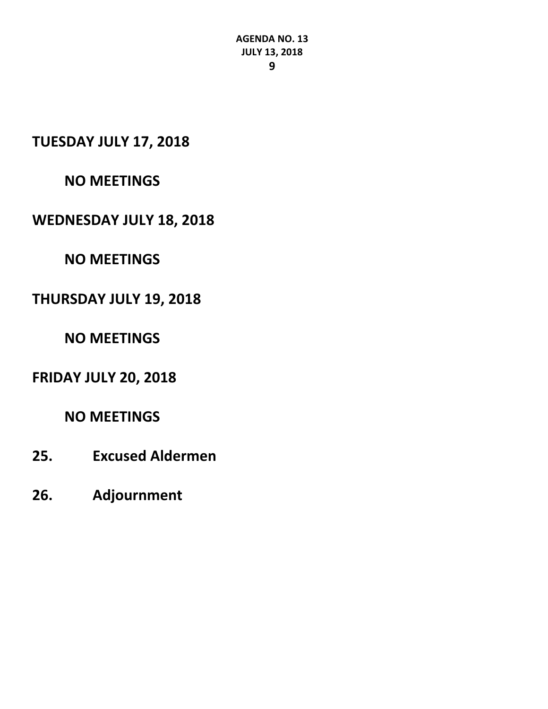**TUESDAY JULY 17, 2018**

#### **NO MEETINGS**

#### **WEDNESDAY JULY 18, 2018**

### **NO MEETINGS**

#### **THURSDAY JULY 19, 2018**

### **NO MEETINGS**

### **FRIDAY JULY 20, 2018**

### **NO MEETINGS**

- **25. Excused Aldermen**
- **26. Adjournment**